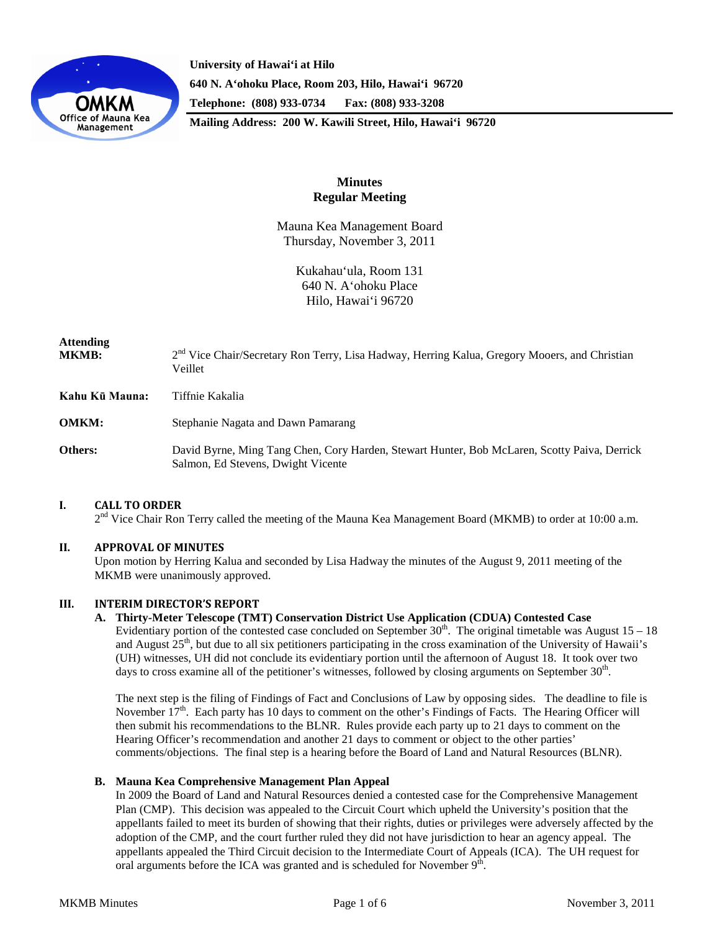

**University of Hawai'i at Hilo 640 N. A'ohoku Place, Room 203, Hilo, Hawai'i 96720 Telephone: (808) 933-0734 Fax: (808) 933-3208 Mailing Address: 200 W. Kawili Street, Hilo, Hawai'i 96720**

> **Minutes Regular Meeting**

Mauna Kea Management Board Thursday, November 3, 2011

> Kukahau'ula, Room 131 640 N. A'ohoku Place Hilo, Hawai'i 96720

# **Attending** MKMB:<sup>2nd</sup> Vice Chair/Secretary Ron Terry, Lisa Hadway, Herring Kalua, Gregory Mooers, and Christian Veillet **Kahu Kū Mauna:** Tiffnie Kakalia **OMKM:** Stephanie Nagata and Dawn Pamarang **Others:** David Byrne, Ming Tang Chen, Cory Harden, Stewart Hunter, Bob McLaren, Scotty Paiva, Derrick Salmon, Ed Stevens, Dwight Vicente

# **I. CALL TO ORDER**

2<sup>nd</sup> Vice Chair Ron Terry called the meeting of the Mauna Kea Management Board (MKMB) to order at 10:00 a.m.

# **II. APPROVAL OF MINUTES**

Upon motion by Herring Kalua and seconded by Lisa Hadway the minutes of the August 9, 2011 meeting of the MKMB were unanimously approved.

# **III. INTERIM DIRECTOR'S REPORT**

# **A. Thirty-Meter Telescope (TMT) Conservation District Use Application (CDUA) Contested Case**

Evidentiary portion of the contested case concluded on September  $30<sup>th</sup>$ . The original timetable was August  $15 - 18$ and August  $25<sup>th</sup>$ , but due to all six petitioners participating in the cross examination of the University of Hawaii's (UH) witnesses, UH did not conclude its evidentiary portion until the afternoon of August 18. It took over two days to cross examine all of the petitioner's witnesses, followed by closing arguments on September 30<sup>th</sup>.

The next step is the filing of Findings of Fact and Conclusions of Law by opposing sides. The deadline to file is November  $17<sup>th</sup>$ . Each party has 10 days to comment on the other's Findings of Facts. The Hearing Officer will then submit his recommendations to the BLNR. Rules provide each party up to 21 days to comment on the Hearing Officer's recommendation and another 21 days to comment or object to the other parties' comments/objections. The final step is a hearing before the Board of Land and Natural Resources (BLNR).

# **B. Mauna Kea Comprehensive Management Plan Appeal**

In 2009 the Board of Land and Natural Resources denied a contested case for the Comprehensive Management Plan (CMP). This decision was appealed to the Circuit Court which upheld the University's position that the appellants failed to meet its burden of showing that their rights, duties or privileges were adversely affected by the adoption of the CMP, and the court further ruled they did not have jurisdiction to hear an agency appeal. The appellants appealed the Third Circuit decision to the Intermediate Court of Appeals (ICA). The UH request for oral arguments before the ICA was granted and is scheduled for November  $9<sup>th</sup>$ .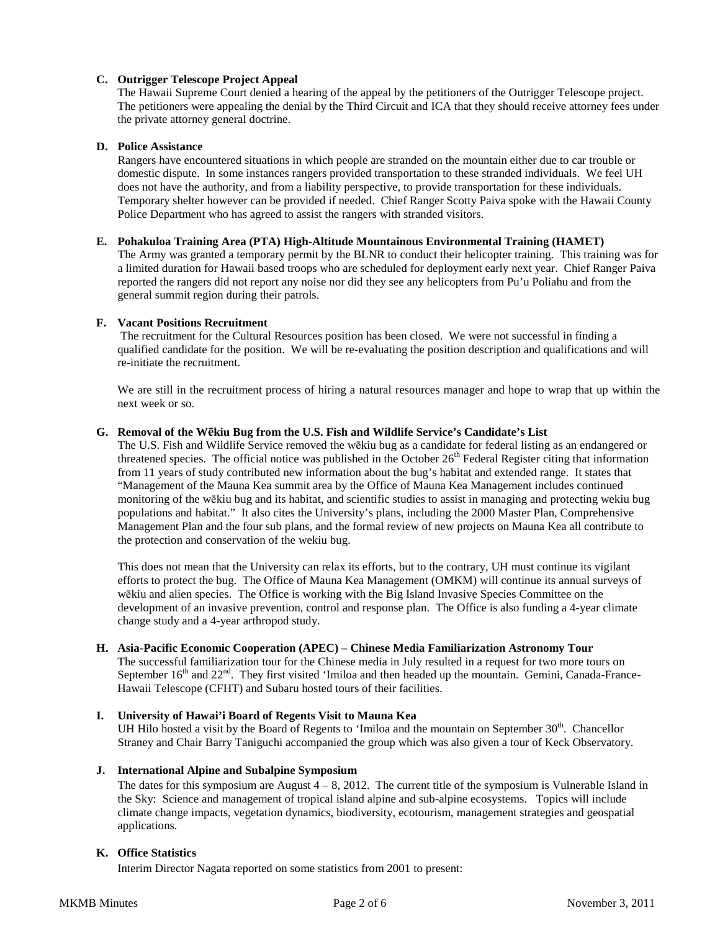# **C. Outrigger Telescope Project Appeal**

The Hawaii Supreme Court denied a hearing of the appeal by the petitioners of the Outrigger Telescope project. The petitioners were appealing the denial by the Third Circuit and ICA that they should receive attorney fees under the private attorney general doctrine.

# **D. Police Assistance**

Rangers have encountered situations in which people are stranded on the mountain either due to car trouble or domestic dispute. In some instances rangers provided transportation to these stranded individuals. We feel UH does not have the authority, and from a liability perspective, to provide transportation for these individuals. Temporary shelter however can be provided if needed. Chief Ranger Scotty Paiva spoke with the Hawaii County Police Department who has agreed to assist the rangers with stranded visitors.

## **E. Pohakuloa Training Area (PTA) High-Altitude Mountainous Environmental Training (HAMET)**

The Army was granted a temporary permit by the BLNR to conduct their helicopter training. This training was for a limited duration for Hawaii based troops who are scheduled for deployment early next year. Chief Ranger Paiva reported the rangers did not report any noise nor did they see any helicopters from Pu'u Poliahu and from the general summit region during their patrols.

## **F. Vacant Positions Recruitment**

The recruitment for the Cultural Resources position has been closed. We were not successful in finding a qualified candidate for the position. We will be re-evaluating the position description and qualifications and will re-initiate the recruitment.

We are still in the recruitment process of hiring a natural resources manager and hope to wrap that up within the next week or so.

## **G. Removal of the Wēkiu Bug from the U.S. Fish and Wildlife Service's Candidate's List**

The U.S. Fish and Wildlife Service removed the wēkiu bug as a candidate for federal listing as an endangered or threatened species. The official notice was published in the October  $26<sup>th</sup>$  Federal Register citing that information from 11 years of study contributed new information about the bug's habitat and extended range. It states that "Management of the Mauna Kea summit area by the Office of Mauna Kea Management includes continued monitoring of the wēkiu bug and its habitat, and scientific studies to assist in managing and protecting wekiu bug populations and habitat." It also cites the University's plans, including the 2000 Master Plan, Comprehensive Management Plan and the four sub plans, and the formal review of new projects on Mauna Kea all contribute to the protection and conservation of the wekiu bug.

This does not mean that the University can relax its efforts, but to the contrary, UH must continue its vigilant efforts to protect the bug. The Office of Mauna Kea Management (OMKM) will continue its annual surveys of wēkiu and alien species. The Office is working with the Big Island Invasive Species Committee on the development of an invasive prevention, control and response plan. The Office is also funding a 4-year climate change study and a 4-year arthropod study.

## **H. Asia-Pacific Economic Cooperation (APEC) – Chinese Media Familiarization Astronomy Tour**

The successful familiarization tour for the Chinese media in July resulted in a request for two more tours on September 16<sup>th</sup> and 22<sup>nd</sup>. They first visited 'Imiloa and then headed up the mountain. Gemini, Canada-France-Hawaii Telescope (CFHT) and Subaru hosted tours of their facilities.

# **I. University of Hawai'i Board of Regents Visit to Mauna Kea**

UH Hilo hosted a visit by the Board of Regents to 'Imiloa and the mountain on September  $30<sup>th</sup>$ . Chancellor Straney and Chair Barry Taniguchi accompanied the group which was also given a tour of Keck Observatory.

# **J. International Alpine and Subalpine Symposium**

The dates for this symposium are August  $4 - 8$ , 2012. The current title of the symposium is Vulnerable Island in the Sky: Science and management of tropical island alpine and sub-alpine ecosystems. Topics will include climate change impacts, vegetation dynamics, biodiversity, ecotourism, management strategies and geospatial applications.

# **K. Office Statistics**

Interim Director Nagata reported on some statistics from 2001 to present: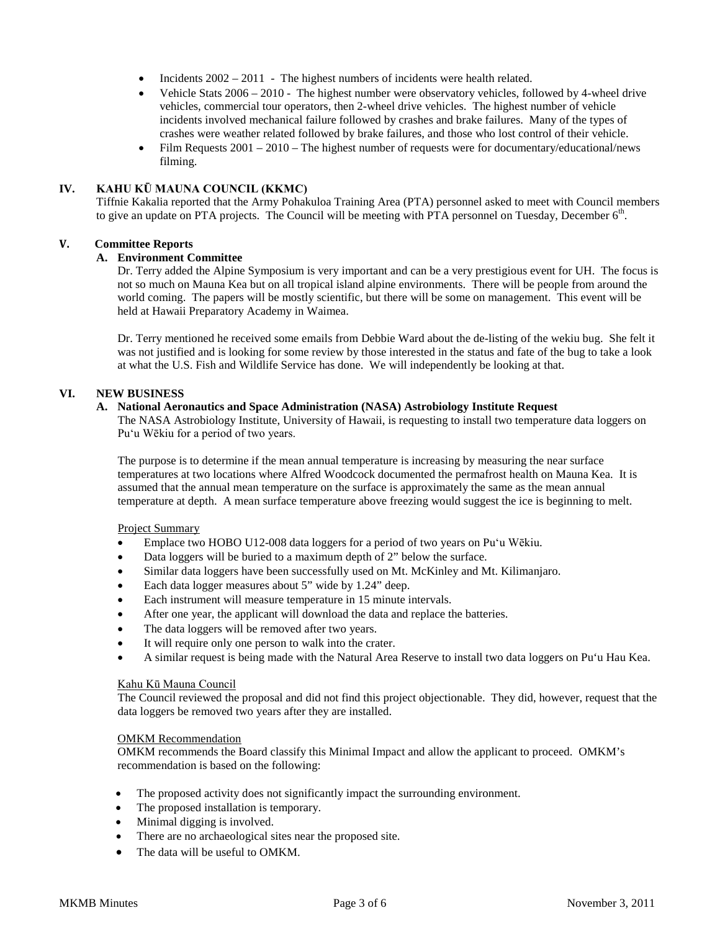- Incidents 2002 2011 The highest numbers of incidents were health related.
- Vehicle Stats 2006 2010 The highest number were observatory vehicles, followed by 4-wheel drive vehicles, commercial tour operators, then 2-wheel drive vehicles. The highest number of vehicle incidents involved mechanical failure followed by crashes and brake failures. Many of the types of crashes were weather related followed by brake failures, and those who lost control of their vehicle.
- Film Requests 2001 2010 The highest number of requests were for documentary/educational/news filming.

# **IV. KAHU KŪ MAUNA COUNCIL (KKMC)**

Tiffnie Kakalia reported that the Army Pohakuloa Training Area (PTA) personnel asked to meet with Council members to give an update on PTA projects. The Council will be meeting with PTA personnel on Tuesday, December  $6<sup>th</sup>$ .

#### **V. Committee Reports**

## **A. Environment Committee**

Dr. Terry added the Alpine Symposium is very important and can be a very prestigious event for UH. The focus is not so much on Mauna Kea but on all tropical island alpine environments. There will be people from around the world coming. The papers will be mostly scientific, but there will be some on management. This event will be held at Hawaii Preparatory Academy in Waimea.

Dr. Terry mentioned he received some emails from Debbie Ward about the de-listing of the wekiu bug. She felt it was not justified and is looking for some review by those interested in the status and fate of the bug to take a look at what the U.S. Fish and Wildlife Service has done. We will independently be looking at that.

## **VI. NEW BUSINESS**

# **A. National Aeronautics and Space Administration (NASA) Astrobiology Institute Request**

The NASA Astrobiology Institute, University of Hawaii, is requesting to install two temperature data loggers on Pu'u Wēkiu for a period of two years.

The purpose is to determine if the mean annual temperature is increasing by measuring the near surface temperatures at two locations where Alfred Woodcock documented the permafrost health on Mauna Kea. It is assumed that the annual mean temperature on the surface is approximately the same as the mean annual temperature at depth. A mean surface temperature above freezing would suggest the ice is beginning to melt.

#### Project Summary

- Emplace two HOBO U12-008 data loggers for a period of two years on Pu'u Wēkiu.
- Data loggers will be buried to a maximum depth of 2" below the surface.
- Similar data loggers have been successfully used on Mt. McKinley and Mt. Kilimanjaro.
- Each data logger measures about 5" wide by 1.24" deep.
- Each instrument will measure temperature in 15 minute intervals.
- After one year, the applicant will download the data and replace the batteries.
- The data loggers will be removed after two years.
- It will require only one person to walk into the crater.
- A similar request is being made with the Natural Area Reserve to install two data loggers on Pu'u Hau Kea.

#### Kahu Kū Mauna Council

The Council reviewed the proposal and did not find this project objectionable. They did, however, request that the data loggers be removed two years after they are installed.

#### OMKM Recommendation

OMKM recommends the Board classify this Minimal Impact and allow the applicant to proceed. OMKM's recommendation is based on the following:

- The proposed activity does not significantly impact the surrounding environment.
- The proposed installation is temporary.
- Minimal digging is involved.
- There are no archaeological sites near the proposed site.
- The data will be useful to OMKM.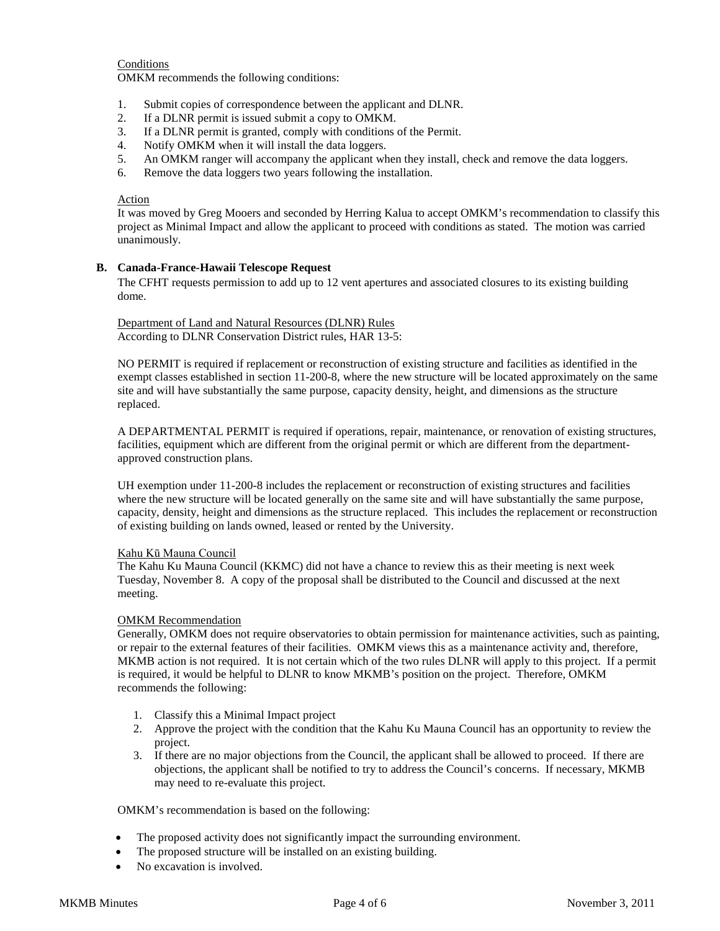# **Conditions**

OMKM recommends the following conditions:

- 1. Submit copies of correspondence between the applicant and DLNR.
- 2. If a DLNR permit is issued submit a copy to OMKM.
- 3. If a DLNR permit is granted, comply with conditions of the Permit.
- 4. Notify OMKM when it will install the data loggers.
- 5. An OMKM ranger will accompany the applicant when they install, check and remove the data loggers.
- 6. Remove the data loggers two years following the installation.

#### Action

It was moved by Greg Mooers and seconded by Herring Kalua to accept OMKM's recommendation to classify this project as Minimal Impact and allow the applicant to proceed with conditions as stated. The motion was carried unanimously.

## **B. Canada-France-Hawaii Telescope Request**

The CFHT requests permission to add up to 12 vent apertures and associated closures to its existing building dome.

Department of Land and Natural Resources (DLNR) Rules According to DLNR Conservation District rules, HAR 13-5:

NO PERMIT is required if replacement or reconstruction of existing structure and facilities as identified in the exempt classes established in section 11-200-8, where the new structure will be located approximately on the same site and will have substantially the same purpose, capacity density, height, and dimensions as the structure replaced.

A DEPARTMENTAL PERMIT is required if operations, repair, maintenance, or renovation of existing structures, facilities, equipment which are different from the original permit or which are different from the departmentapproved construction plans.

UH exemption under 11-200-8 includes the replacement or reconstruction of existing structures and facilities where the new structure will be located generally on the same site and will have substantially the same purpose, capacity, density, height and dimensions as the structure replaced. This includes the replacement or reconstruction of existing building on lands owned, leased or rented by the University.

#### Kahu Kū Mauna Council

The Kahu Ku Mauna Council (KKMC) did not have a chance to review this as their meeting is next week Tuesday, November 8. A copy of the proposal shall be distributed to the Council and discussed at the next meeting.

#### OMKM Recommendation

Generally, OMKM does not require observatories to obtain permission for maintenance activities, such as painting, or repair to the external features of their facilities. OMKM views this as a maintenance activity and, therefore, MKMB action is not required. It is not certain which of the two rules DLNR will apply to this project. If a permit is required, it would be helpful to DLNR to know MKMB's position on the project. Therefore, OMKM recommends the following:

- 1. Classify this a Minimal Impact project
- 2. Approve the project with the condition that the Kahu Ku Mauna Council has an opportunity to review the project.
- 3. If there are no major objections from the Council, the applicant shall be allowed to proceed. If there are objections, the applicant shall be notified to try to address the Council's concerns. If necessary, MKMB may need to re-evaluate this project.

OMKM's recommendation is based on the following:

- The proposed activity does not significantly impact the surrounding environment.
- The proposed structure will be installed on an existing building.
- No excavation is involved.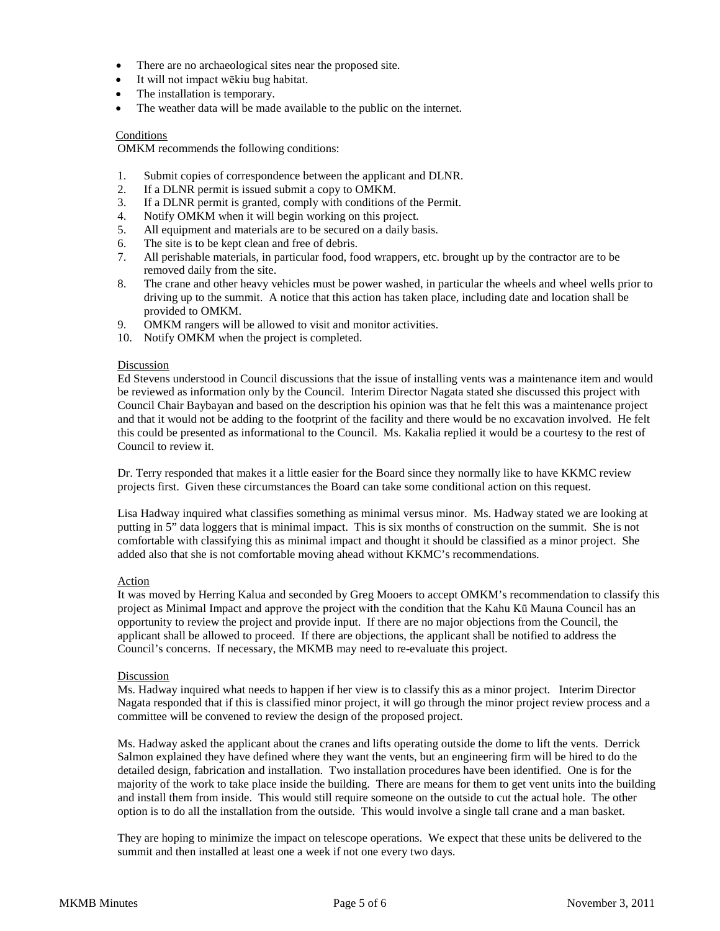- There are no archaeological sites near the proposed site.
- It will not impact wēkiu bug habitat.
- The installation is temporary.
- The weather data will be made available to the public on the internet.

# Conditions

OMKM recommends the following conditions:

- 1. Submit copies of correspondence between the applicant and DLNR.
- 2. If a DLNR permit is issued submit a copy to OMKM.
- 3. If a DLNR permit is granted, comply with conditions of the Permit.
- 4. Notify OMKM when it will begin working on this project.
- 5. All equipment and materials are to be secured on a daily basis.
- 6. The site is to be kept clean and free of debris.
- 7. All perishable materials, in particular food, food wrappers, etc. brought up by the contractor are to be removed daily from the site.
- 8. The crane and other heavy vehicles must be power washed, in particular the wheels and wheel wells prior to driving up to the summit. A notice that this action has taken place, including date and location shall be provided to OMKM.
- 9. OMKM rangers will be allowed to visit and monitor activities.
- 10. Notify OMKM when the project is completed.

## Discussion

Ed Stevens understood in Council discussions that the issue of installing vents was a maintenance item and would be reviewed as information only by the Council. Interim Director Nagata stated she discussed this project with Council Chair Baybayan and based on the description his opinion was that he felt this was a maintenance project and that it would not be adding to the footprint of the facility and there would be no excavation involved. He felt this could be presented as informational to the Council. Ms. Kakalia replied it would be a courtesy to the rest of Council to review it.

Dr. Terry responded that makes it a little easier for the Board since they normally like to have KKMC review projects first. Given these circumstances the Board can take some conditional action on this request.

Lisa Hadway inquired what classifies something as minimal versus minor. Ms. Hadway stated we are looking at putting in 5" data loggers that is minimal impact. This is six months of construction on the summit. She is not comfortable with classifying this as minimal impact and thought it should be classified as a minor project. She added also that she is not comfortable moving ahead without KKMC's recommendations.

#### Action

It was moved by Herring Kalua and seconded by Greg Mooers to accept OMKM's recommendation to classify this project as Minimal Impact and approve the project with the condition that the Kahu Kū Mauna Council has an opportunity to review the project and provide input. If there are no major objections from the Council, the applicant shall be allowed to proceed. If there are objections, the applicant shall be notified to address the Council's concerns. If necessary, the MKMB may need to re-evaluate this project.

## **Discussion**

Ms. Hadway inquired what needs to happen if her view is to classify this as a minor project. Interim Director Nagata responded that if this is classified minor project, it will go through the minor project review process and a committee will be convened to review the design of the proposed project.

Ms. Hadway asked the applicant about the cranes and lifts operating outside the dome to lift the vents. Derrick Salmon explained they have defined where they want the vents, but an engineering firm will be hired to do the detailed design, fabrication and installation. Two installation procedures have been identified. One is for the majority of the work to take place inside the building. There are means for them to get vent units into the building and install them from inside. This would still require someone on the outside to cut the actual hole. The other option is to do all the installation from the outside. This would involve a single tall crane and a man basket.

They are hoping to minimize the impact on telescope operations. We expect that these units be delivered to the summit and then installed at least one a week if not one every two days.